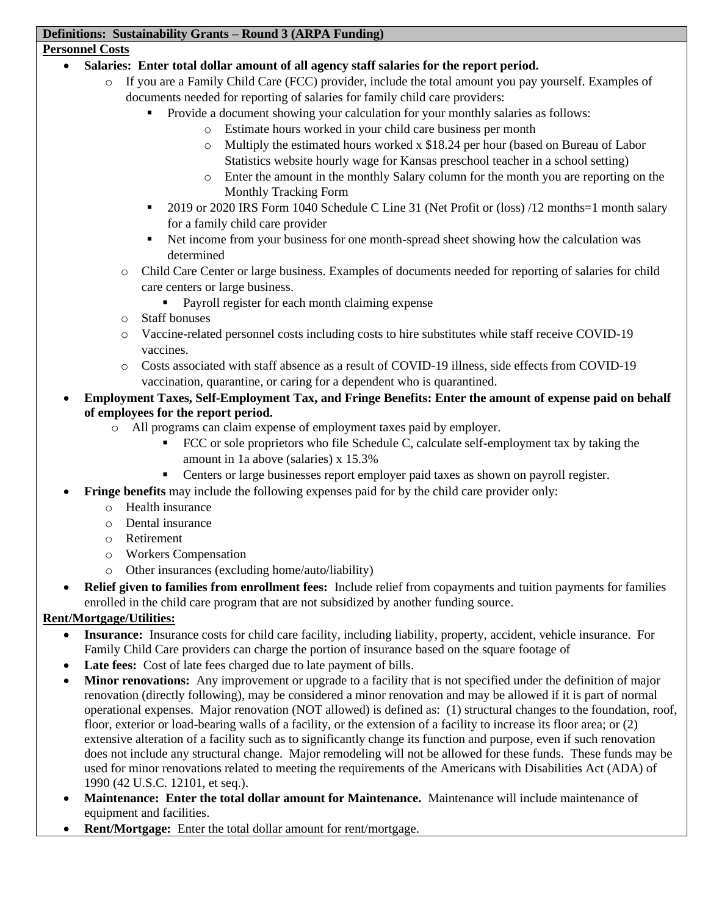#### **Definitions: Sustainability Grants – Round 3 (ARPA Funding)**

#### **Personnel Costs**

- **Salaries: Enter total dollar amount of all agency staff salaries for the report period.**
	- o If you are a Family Child Care (FCC) provider, include the total amount you pay yourself. Examples of documents needed for reporting of salaries for family child care providers:
		- Provide a document showing your calculation for your monthly salaries as follows:
			- o Estimate hours worked in your child care business per month
			- o Multiply the estimated hours worked x \$18.24 per hour (based on Bureau of Labor Statistics website hourly wage for Kansas preschool teacher in a school setting)
			- o Enter the amount in the monthly Salary column for the month you are reporting on the Monthly Tracking Form
		- 2019 or 2020 IRS Form 1040 Schedule C Line 31 (Net Profit or (loss) /12 months=1 month salary for a family child care provider
		- Net income from your business for one month-spread sheet showing how the calculation was determined
		- o Child Care Center or large business. Examples of documents needed for reporting of salaries for child care centers or large business.
			- Payroll register for each month claiming expense
		- o Staff bonuses
		- o Vaccine-related personnel costs including costs to hire substitutes while staff receive COVID-19 vaccines.
		- o Costs associated with staff absence as a result of COVID-19 illness, side effects from COVID-19 vaccination, quarantine, or caring for a dependent who is quarantined.
- **Employment Taxes, Self-Employment Tax, and Fringe Benefits: Enter the amount of expense paid on behalf of employees for the report period.**
	- o All programs can claim expense of employment taxes paid by employer.
		- FCC or sole proprietors who file Schedule C, calculate self-employment tax by taking the amount in 1a above (salaries) x 15.3%
		- **•** Centers or large businesses report employer paid taxes as shown on payroll register.
	- **Fringe benefits** may include the following expenses paid for by the child care provider only:
		- o Health insurance
		- o Dental insurance
		- o Retirement
		- o Workers Compensation
		- o Other insurances (excluding home/auto/liability)
- **Relief given to families from enrollment fees:** Include relief from copayments and tuition payments for families enrolled in the child care program that are not subsidized by another funding source.

## **Rent/Mortgage/Utilities:**

- **Insurance:** Insurance costs for child care facility, including liability, property, accident, vehicle insurance. For Family Child Care providers can charge the portion of insurance based on the square footage of
- **Late fees:** Cost of late fees charged due to late payment of bills.
- **Minor renovations:** Any improvement or upgrade to a facility that is not specified under the definition of major renovation (directly following), may be considered a minor renovation and may be allowed if it is part of normal operational expenses. Major renovation (NOT allowed) is defined as: (1) structural changes to the foundation, roof, floor, exterior or load-bearing walls of a facility, or the extension of a facility to increase its floor area; or (2) extensive alteration of a facility such as to significantly change its function and purpose, even if such renovation does not include any structural change. Major remodeling will not be allowed for these funds. These funds may be used for minor renovations related to meeting the requirements of the Americans with Disabilities Act (ADA) of 1990 (42 U.S.C. 12101, et seq.).
- **Maintenance: Enter the total dollar amount for Maintenance.** Maintenance will include maintenance of equipment and facilities.
- **Rent/Mortgage:** Enter the total dollar amount for rent/mortgage.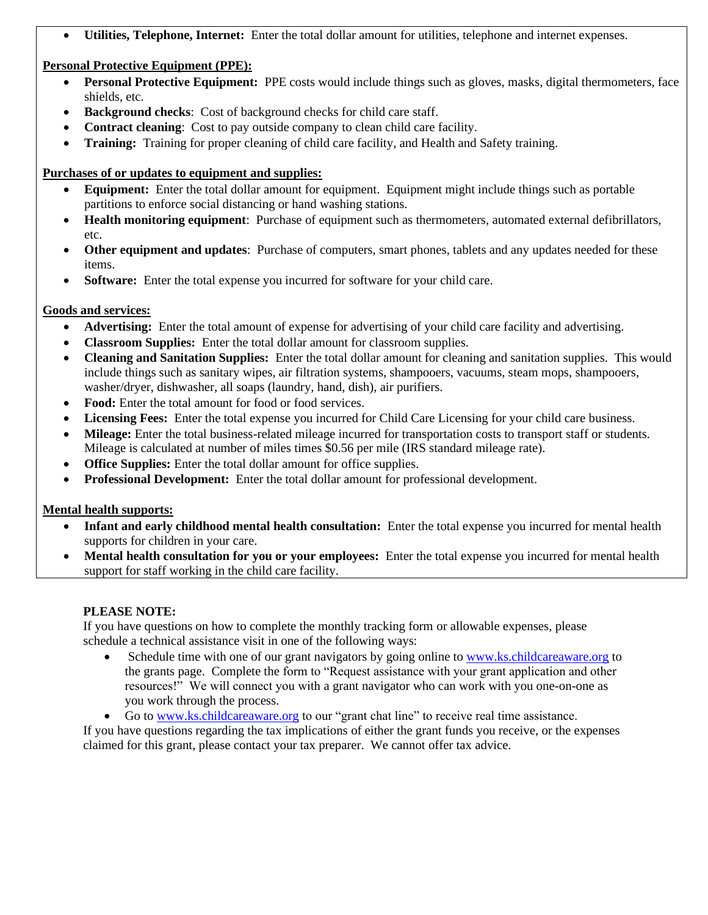• **Utilities, Telephone, Internet:** Enter the total dollar amount for utilities, telephone and internet expenses.

# **Personal Protective Equipment (PPE):**

- **Personal Protective Equipment:** PPE costs would include things such as gloves, masks, digital thermometers, face shields, etc.
- **Background checks:** Cost of background checks for child care staff.
- **Contract cleaning**: Cost to pay outside company to clean child care facility.
- **Training:** Training for proper cleaning of child care facility, and Health and Safety training.

## **Purchases of or updates to equipment and supplies:**

- **Equipment:** Enter the total dollar amount for equipment. Equipment might include things such as portable partitions to enforce social distancing or hand washing stations.
- **Health monitoring equipment**: Purchase of equipment such as thermometers, automated external defibrillators, etc.
- **Other equipment and updates**: Purchase of computers, smart phones, tablets and any updates needed for these items.
- **Software:** Enter the total expense you incurred for software for your child care.

# **Goods and services:**

- **Advertising:** Enter the total amount of expense for advertising of your child care facility and advertising.
- **Classroom Supplies:** Enter the total dollar amount for classroom supplies.
- **Cleaning and Sanitation Supplies:** Enter the total dollar amount for cleaning and sanitation supplies. This would include things such as sanitary wipes, air filtration systems, shampooers, vacuums, steam mops, shampooers, washer/dryer, dishwasher, all soaps (laundry, hand, dish), air purifiers.
- Food: Enter the total amount for food or food services.
- **Licensing Fees:** Enter the total expense you incurred for Child Care Licensing for your child care business.
- **Mileage:** Enter the total business-related mileage incurred for transportation costs to transport staff or students. Mileage is calculated at number of miles times \$0.56 per mile (IRS standard mileage rate).
- **Office Supplies:** Enter the total dollar amount for office supplies.
- **Professional Development:** Enter the total dollar amount for professional development.

## **Mental health supports:**

- **Infant and early childhood mental health consultation:** Enter the total expense you incurred for mental health supports for children in your care.
- **Mental health consultation for you or your employees:** Enter the total expense you incurred for mental health support for staff working in the child care facility.

# **PLEASE NOTE:**

If you have questions on how to complete the monthly tracking form or allowable expenses, please schedule a technical assistance visit in one of the following ways:

- Schedule time with one of our grant navigators by going online to [www.ks.childcareaware.org](http://www.ks.childcareaware.org/) to the grants page. Complete the form to "Request assistance with your grant application and other resources!" We will connect you with a grant navigator who can work with you one-on-one as you work through the process.
- Go to [www.ks.childcareaware.org](http://www.ks.childcareaware.org/) to our "grant chat line" to receive real time assistance.

If you have questions regarding the tax implications of either the grant funds you receive, or the expenses claimed for this grant, please contact your tax preparer. We cannot offer tax advice.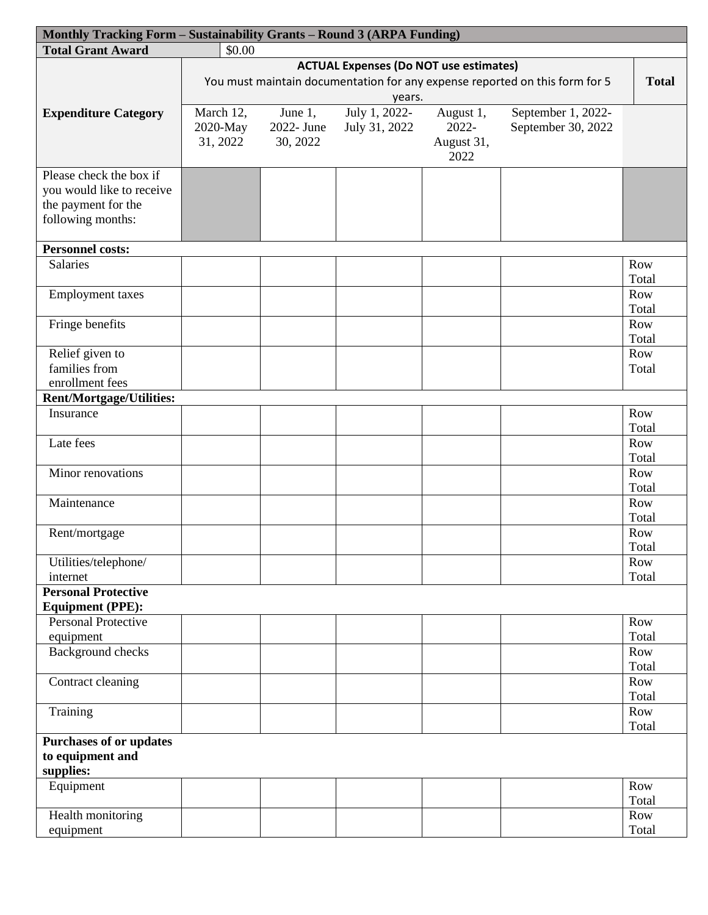| Monthly Tracking Form - Sustainability Grants - Round 3 (ARPA Funding) |                                                                                                                                              |            |               |            |                    |       |  |  |  |
|------------------------------------------------------------------------|----------------------------------------------------------------------------------------------------------------------------------------------|------------|---------------|------------|--------------------|-------|--|--|--|
| <b>Total Grant Award</b>                                               | \$0.00                                                                                                                                       |            |               |            |                    |       |  |  |  |
|                                                                        | <b>ACTUAL Expenses (Do NOT use estimates)</b><br>You must maintain documentation for any expense reported on this form for 5<br><b>Total</b> |            |               |            |                    |       |  |  |  |
|                                                                        |                                                                                                                                              |            |               |            |                    |       |  |  |  |
|                                                                        | years.                                                                                                                                       |            |               |            |                    |       |  |  |  |
| <b>Expenditure Category</b>                                            | July 1, 2022-<br>March 12,<br>September 1, 2022-<br>June $1$ ,<br>August 1,                                                                  |            |               |            |                    |       |  |  |  |
|                                                                        |                                                                                                                                              |            |               | 2022-      |                    |       |  |  |  |
|                                                                        | 2020-May                                                                                                                                     | 2022- June | July 31, 2022 |            | September 30, 2022 |       |  |  |  |
|                                                                        | 31, 2022                                                                                                                                     | 30, 2022   |               | August 31, |                    |       |  |  |  |
|                                                                        |                                                                                                                                              |            |               | 2022       |                    |       |  |  |  |
| Please check the box if                                                |                                                                                                                                              |            |               |            |                    |       |  |  |  |
| you would like to receive                                              |                                                                                                                                              |            |               |            |                    |       |  |  |  |
| the payment for the                                                    |                                                                                                                                              |            |               |            |                    |       |  |  |  |
| following months:                                                      |                                                                                                                                              |            |               |            |                    |       |  |  |  |
|                                                                        |                                                                                                                                              |            |               |            |                    |       |  |  |  |
| <b>Personnel costs:</b>                                                |                                                                                                                                              |            |               |            |                    |       |  |  |  |
| <b>Salaries</b>                                                        |                                                                                                                                              |            |               |            |                    | Row   |  |  |  |
|                                                                        |                                                                                                                                              |            |               |            |                    | Total |  |  |  |
| <b>Employment</b> taxes                                                |                                                                                                                                              |            |               |            |                    | Row   |  |  |  |
|                                                                        |                                                                                                                                              |            |               |            |                    | Total |  |  |  |
| Fringe benefits                                                        |                                                                                                                                              |            |               |            |                    | Row   |  |  |  |
|                                                                        |                                                                                                                                              |            |               |            |                    | Total |  |  |  |
| Relief given to                                                        |                                                                                                                                              |            |               |            |                    | Row   |  |  |  |
| families from                                                          |                                                                                                                                              |            |               |            |                    |       |  |  |  |
|                                                                        |                                                                                                                                              |            |               |            |                    | Total |  |  |  |
| enrollment fees                                                        |                                                                                                                                              |            |               |            |                    |       |  |  |  |
| <b>Rent/Mortgage/Utilities:</b>                                        |                                                                                                                                              |            |               |            |                    |       |  |  |  |
| Insurance                                                              |                                                                                                                                              |            |               |            |                    | Row   |  |  |  |
|                                                                        |                                                                                                                                              |            |               |            |                    | Total |  |  |  |
| Late fees                                                              |                                                                                                                                              |            |               |            |                    | Row   |  |  |  |
|                                                                        |                                                                                                                                              |            |               |            |                    | Total |  |  |  |
| Minor renovations                                                      |                                                                                                                                              |            |               |            |                    | Row   |  |  |  |
|                                                                        |                                                                                                                                              |            |               |            |                    | Total |  |  |  |
| Maintenance                                                            |                                                                                                                                              |            |               |            |                    | Row   |  |  |  |
|                                                                        |                                                                                                                                              |            |               |            |                    | Total |  |  |  |
| Rent/mortgage                                                          |                                                                                                                                              |            |               |            |                    | Row   |  |  |  |
|                                                                        |                                                                                                                                              |            |               |            |                    | Total |  |  |  |
| Utilities/telephone/                                                   |                                                                                                                                              |            |               |            |                    | Row   |  |  |  |
| internet                                                               |                                                                                                                                              |            |               |            |                    | Total |  |  |  |
| <b>Personal Protective</b>                                             |                                                                                                                                              |            |               |            |                    |       |  |  |  |
| <b>Equipment (PPE):</b>                                                |                                                                                                                                              |            |               |            |                    |       |  |  |  |
| <b>Personal Protective</b>                                             |                                                                                                                                              |            |               |            |                    | Row   |  |  |  |
| equipment                                                              |                                                                                                                                              |            |               |            |                    | Total |  |  |  |
| <b>Background</b> checks                                               |                                                                                                                                              |            |               |            |                    | Row   |  |  |  |
|                                                                        |                                                                                                                                              |            |               |            |                    | Total |  |  |  |
| Contract cleaning                                                      |                                                                                                                                              |            |               |            |                    | Row   |  |  |  |
|                                                                        |                                                                                                                                              |            |               |            |                    | Total |  |  |  |
|                                                                        |                                                                                                                                              |            |               |            |                    |       |  |  |  |
| Training                                                               |                                                                                                                                              |            |               |            |                    | Row   |  |  |  |
|                                                                        |                                                                                                                                              |            |               |            |                    | Total |  |  |  |
| <b>Purchases of or updates</b>                                         |                                                                                                                                              |            |               |            |                    |       |  |  |  |
| to equipment and                                                       |                                                                                                                                              |            |               |            |                    |       |  |  |  |
| supplies:                                                              |                                                                                                                                              |            |               |            |                    |       |  |  |  |
| Equipment                                                              |                                                                                                                                              |            |               |            |                    | Row   |  |  |  |
|                                                                        |                                                                                                                                              |            |               |            |                    | Total |  |  |  |
| Health monitoring                                                      |                                                                                                                                              |            |               |            |                    | Row   |  |  |  |
| equipment                                                              |                                                                                                                                              |            |               |            |                    | Total |  |  |  |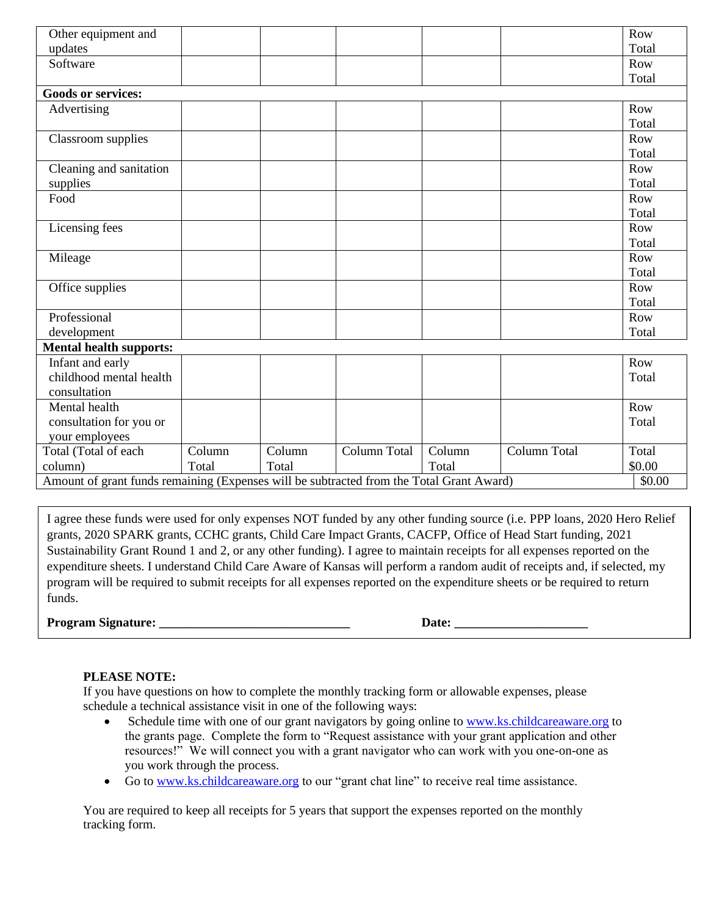| Other equipment and            |                                                                                          |        |              |        |              | Row    |  |  |  |  |
|--------------------------------|------------------------------------------------------------------------------------------|--------|--------------|--------|--------------|--------|--|--|--|--|
| updates                        |                                                                                          |        |              |        |              | Total  |  |  |  |  |
| Software                       |                                                                                          |        |              |        |              | Row    |  |  |  |  |
|                                |                                                                                          |        |              |        |              | Total  |  |  |  |  |
| <b>Goods or services:</b>      |                                                                                          |        |              |        |              |        |  |  |  |  |
| Advertising                    |                                                                                          |        |              |        |              | Row    |  |  |  |  |
|                                |                                                                                          |        |              |        |              | Total  |  |  |  |  |
| Classroom supplies             |                                                                                          |        |              |        |              | Row    |  |  |  |  |
|                                |                                                                                          |        |              |        |              | Total  |  |  |  |  |
| Cleaning and sanitation        |                                                                                          |        |              |        |              | Row    |  |  |  |  |
| supplies                       |                                                                                          |        |              |        |              | Total  |  |  |  |  |
| Food                           |                                                                                          |        |              |        |              | Row    |  |  |  |  |
|                                |                                                                                          |        |              |        |              | Total  |  |  |  |  |
| Licensing fees                 |                                                                                          |        |              |        |              | Row    |  |  |  |  |
|                                |                                                                                          |        |              |        |              | Total  |  |  |  |  |
| Mileage                        |                                                                                          |        |              |        |              | Row    |  |  |  |  |
|                                |                                                                                          |        |              |        |              | Total  |  |  |  |  |
| Office supplies                |                                                                                          |        |              |        |              | Row    |  |  |  |  |
|                                |                                                                                          |        |              |        |              | Total  |  |  |  |  |
| Professional                   |                                                                                          |        |              |        |              | Row    |  |  |  |  |
| development                    |                                                                                          |        |              |        |              | Total  |  |  |  |  |
| <b>Mental health supports:</b> |                                                                                          |        |              |        |              |        |  |  |  |  |
| Infant and early               |                                                                                          |        |              |        |              | Row    |  |  |  |  |
| childhood mental health        |                                                                                          |        |              |        |              | Total  |  |  |  |  |
| consultation                   |                                                                                          |        |              |        |              |        |  |  |  |  |
| Mental health                  |                                                                                          |        |              |        |              | Row    |  |  |  |  |
| consultation for you or        |                                                                                          |        |              |        |              | Total  |  |  |  |  |
| your employees                 |                                                                                          |        |              |        |              |        |  |  |  |  |
| Total (Total of each           | Column                                                                                   | Column | Column Total | Column | Column Total | Total  |  |  |  |  |
| column)                        | Total                                                                                    | Total  |              | Total  |              | \$0.00 |  |  |  |  |
|                                | Amount of grant funds remaining (Expenses will be subtracted from the Total Grant Award) |        |              |        |              |        |  |  |  |  |

I agree these funds were used for only expenses NOT funded by any other funding source (i.e. PPP loans, 2020 Hero Relief grants, 2020 SPARK grants, CCHC grants, Child Care Impact Grants, CACFP, Office of Head Start funding, 2021 Sustainability Grant Round 1 and 2, or any other funding). I agree to maintain receipts for all expenses reported on the expenditure sheets. I understand Child Care Aware of Kansas will perform a random audit of receipts and, if selected, my program will be required to submit receipts for all expenses reported on the expenditure sheets or be required to return funds.

**Program Signature: \_\_\_\_\_\_\_\_\_\_\_\_\_\_\_\_\_\_\_\_\_\_\_\_\_\_\_\_\_\_ Date: \_\_\_\_\_\_\_\_\_\_\_\_\_\_\_\_\_\_\_\_\_**

## **PLEASE NOTE:**

If you have questions on how to complete the monthly tracking form or allowable expenses, please schedule a technical assistance visit in one of the following ways:

- Schedule time with one of our grant navigators by going online to [www.ks.childcareaware.org](http://www.ks.childcareaware.org/) to the grants page. Complete the form to "Request assistance with your grant application and other resources!" We will connect you with a grant navigator who can work with you one-on-one as you work through the process.
- Go to [www.ks.childcareaware.org](http://www.ks.childcareaware.org/) to our "grant chat line" to receive real time assistance.

You are required to keep all receipts for 5 years that support the expenses reported on the monthly tracking form.